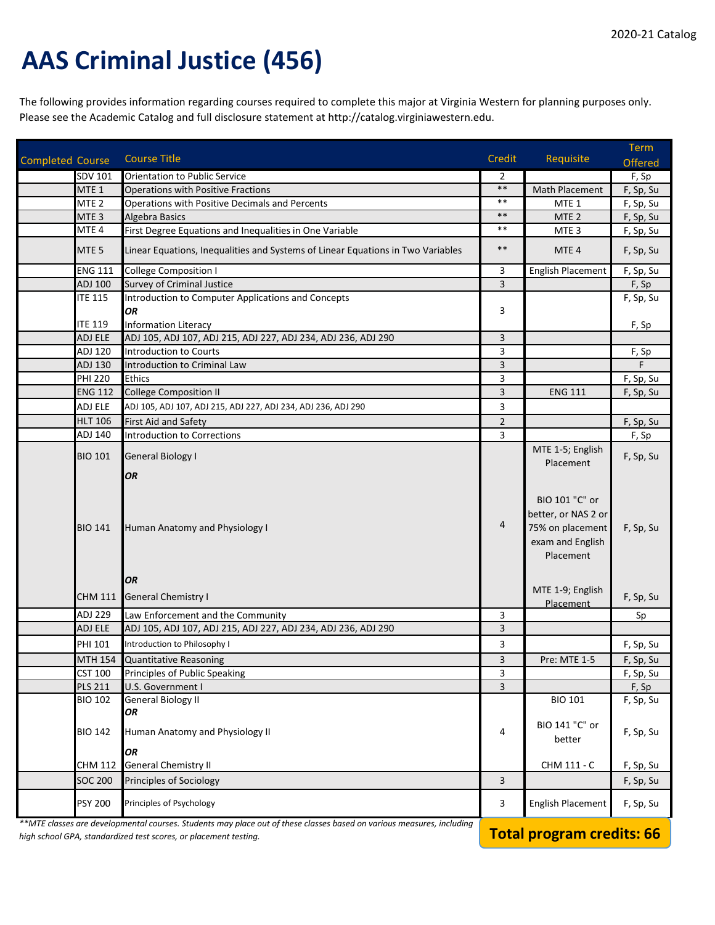## **AAS Criminal Justice (456)**

The following provides information regarding courses required to complete this major at Virginia Western for planning purposes only. Please see the Academic Catalog and full disclosure statement at http://catalog.virginiawestern.edu.

| <b>Completed Course</b> |                             | <b>Course Title</b>                                                                                                   | Credit         | Requisite                                                                                  | <b>Term</b>        |
|-------------------------|-----------------------------|-----------------------------------------------------------------------------------------------------------------------|----------------|--------------------------------------------------------------------------------------------|--------------------|
|                         |                             |                                                                                                                       |                |                                                                                            | <b>Offered</b>     |
|                         | SDV 101<br>MTE <sub>1</sub> | <b>Orientation to Public Service</b><br><b>Operations with Positive Fractions</b>                                     | 2<br>$***$     | Math Placement                                                                             | F, Sp<br>F, Sp, Su |
|                         | MTE <sub>2</sub>            | Operations with Positive Decimals and Percents                                                                        | $***$          | MTE <sub>1</sub>                                                                           | F, Sp, Su          |
|                         | MTE <sub>3</sub>            | <b>Algebra Basics</b>                                                                                                 | $\ast\ast$     | MTE <sub>2</sub>                                                                           | F, Sp, Su          |
|                         | MTE <sub>4</sub>            | First Degree Equations and Inequalities in One Variable                                                               | $***$          | MTE <sub>3</sub>                                                                           | F, Sp, Su          |
|                         |                             |                                                                                                                       |                |                                                                                            |                    |
|                         | MTE <sub>5</sub>            | Linear Equations, Inequalities and Systems of Linear Equations in Two Variables                                       | $\ast\ast$     | MTE <sub>4</sub>                                                                           | F, Sp, Su          |
|                         | <b>ENG 111</b>              | <b>College Composition I</b>                                                                                          | 3              | <b>English Placement</b>                                                                   | F, Sp, Su          |
|                         | ADJ 100                     | <b>Survey of Criminal Justice</b>                                                                                     | $\overline{3}$ |                                                                                            | F, Sp              |
|                         | <b>ITE 115</b>              | Introduction to Computer Applications and Concepts                                                                    |                |                                                                                            | F, Sp, Su          |
|                         |                             | <b>OR</b>                                                                                                             | 3              |                                                                                            |                    |
|                         | <b>ITE 119</b>              | <b>Information Literacy</b>                                                                                           |                |                                                                                            | F, Sp              |
|                         | ADJ ELE                     | ADJ 105, ADJ 107, ADJ 215, ADJ 227, ADJ 234, ADJ 236, ADJ 290                                                         | 3              |                                                                                            |                    |
|                         | ADJ 120                     | <b>Introduction to Courts</b>                                                                                         | 3              |                                                                                            | F, Sp              |
|                         | ADJ 130                     | Introduction to Criminal Law                                                                                          | 3              |                                                                                            | F                  |
|                         | <b>PHI 220</b>              | <b>Ethics</b>                                                                                                         | 3              |                                                                                            | F, Sp, Su          |
|                         | <b>ENG 112</b>              | <b>College Composition II</b>                                                                                         | $\overline{3}$ | <b>ENG 111</b>                                                                             | F, Sp, Su          |
|                         | ADJ ELE                     | ADJ 105, ADJ 107, ADJ 215, ADJ 227, ADJ 234, ADJ 236, ADJ 290                                                         | 3              |                                                                                            |                    |
|                         | <b>HLT 106</b>              | First Aid and Safety                                                                                                  | $\overline{2}$ |                                                                                            | F, Sp, Su          |
|                         | ADJ 140                     | <b>Introduction to Corrections</b>                                                                                    | 3              |                                                                                            | F, Sp              |
|                         | <b>BIO 101</b>              | <b>General Biology I</b>                                                                                              |                | MTE 1-5; English<br>Placement                                                              | F, Sp, Su          |
|                         | <b>BIO 141</b>              | Human Anatomy and Physiology I                                                                                        | 4              | BIO 101 "C" or<br>better, or NAS 2 or<br>75% on placement<br>exam and English<br>Placement | F, Sp, Su          |
|                         |                             | OR                                                                                                                    |                | MTE 1-9; English                                                                           |                    |
|                         |                             | CHM 111 General Chemistry I                                                                                           |                | Placement                                                                                  | F, Sp, Su          |
|                         | ADJ 229                     | Law Enforcement and the Community                                                                                     | 3              |                                                                                            | Sp                 |
|                         | ADJ ELE                     | ADJ 105, ADJ 107, ADJ 215, ADJ 227, ADJ 234, ADJ 236, ADJ 290                                                         | 3              |                                                                                            |                    |
|                         | <b>PHI 101</b>              | Introduction to Philosophy I                                                                                          | 3              |                                                                                            | F, Sp, Su          |
|                         | <b>MTH 154</b>              | <b>Quantitative Reasoning</b>                                                                                         | 3              | Pre: MTE 1-5                                                                               | F, Sp, Su          |
|                         | <b>CST 100</b>              | Principles of Public Speaking                                                                                         | 3              |                                                                                            | F, Sp, Su          |
|                         | <b>PLS 211</b>              | U.S. Government I                                                                                                     | 3              |                                                                                            | F, Sp              |
|                         | <b>BIO 102</b>              | <b>General Biology II</b>                                                                                             |                | <b>BIO 101</b>                                                                             | F, Sp, Su          |
|                         |                             | OR                                                                                                                    |                |                                                                                            |                    |
|                         | <b>BIO 142</b>              | Human Anatomy and Physiology II                                                                                       | 4              | BIO 141 "C" or                                                                             | F, Sp, Su          |
|                         |                             | OR                                                                                                                    |                | better                                                                                     |                    |
|                         | CHM 112                     | <b>General Chemistry II</b>                                                                                           |                | CHM 111 - C                                                                                | F, Sp, Su          |
|                         | <b>SOC 200</b>              | Principles of Sociology                                                                                               | 3              |                                                                                            |                    |
|                         |                             |                                                                                                                       |                |                                                                                            | F, Sp, Su          |
|                         | <b>PSY 200</b>              | Principles of Psychology                                                                                              | 3              | English Placement                                                                          | F, Sp, Su          |
|                         |                             | **MTE classes are developmental courses. Students may place out of these classes based on various measures, including |                |                                                                                            |                    |

*high school GPA, standardized test scores, or placement testing.* **Total program credits: 66**